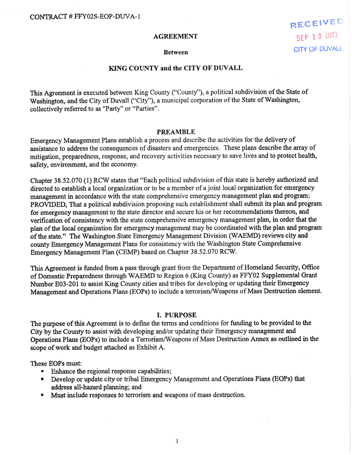#### AGREEMENT

RECEIVED SEP 19 2003 **CITY OF DUVALL** 

#### Between

# KING COUNTY and the CITY OF DUVALL

This Agreement is executed between King County ("County"), a political subdivision of the State of Washington, and the City of Duvall ("City"), a municipal corporation of the State of Washington, collectively referred to as "Party" or "Parties".

#### PREAMBLE

Emergency Management Plans establish a process and describe the activities for the delivery of assistance to address the consequences of disasters and emergencies. These plans describe the array of mitigation, preparedness, response, and recovery activities necessary to save lives and to protect health, safety, environment, and the economy.

Chapter 38.52.070 (1) RCV/ states that "Each political subdivision of this state is hereby authorized and directed to establish a local organization or to be a member of a joint local organization for emergency management in accordance with the state comprehensive emergency management plan and program: PROVIDED, That a political subdivision proposing such establishment shall submit its plan and program for emergency management to the state director and secure his or her recommendations thereon, and verification of consistency with the state eomprehensive emergency management plan, in order that the plan of the local organization for emergency management may be coordinated with the plan and program of the state." The Washington State Emergency Management Division (WAEMD) reviews city and county Emergency Management Plans for consistency with the Washington State Comprehensive Emergency Management Plan (CEMP) based on Chapter 38.52.070 RCV/.

This Agreement is funded from a pass through grant from the Department of Homeland Security, Offrce of Domestic Preparedness through WAEMD to Region 6 (King County) as FFY02 Supplemental Grant Number E03-201 to assist King County cities and tribes for developing or updating their Emergency Management and Operations Plans (EOPs) to include a terrorism/Weapons of Mass Destruction element.

## I. PURPOSE

The purpose of this Agreement is to define the terms and conditions for funding to be provided to the City by the County to assist with developing and/or updating their Emergency management and Operations Plans (EOPs) to include a Terrorism/Weapons of Mass Destruction Annex as outlined in the scope of work and budget attached as Exhibit A.

These EOPs must:

- **Enhance the regional response capabilities;**
- **.** Develop or update city or tribal Emergency Management and Operations Plans (EOPs) that address all-hazard planning; and
- r Must include responses to terrorism and weapons of mass destruction.

 $\mathbf{1}$